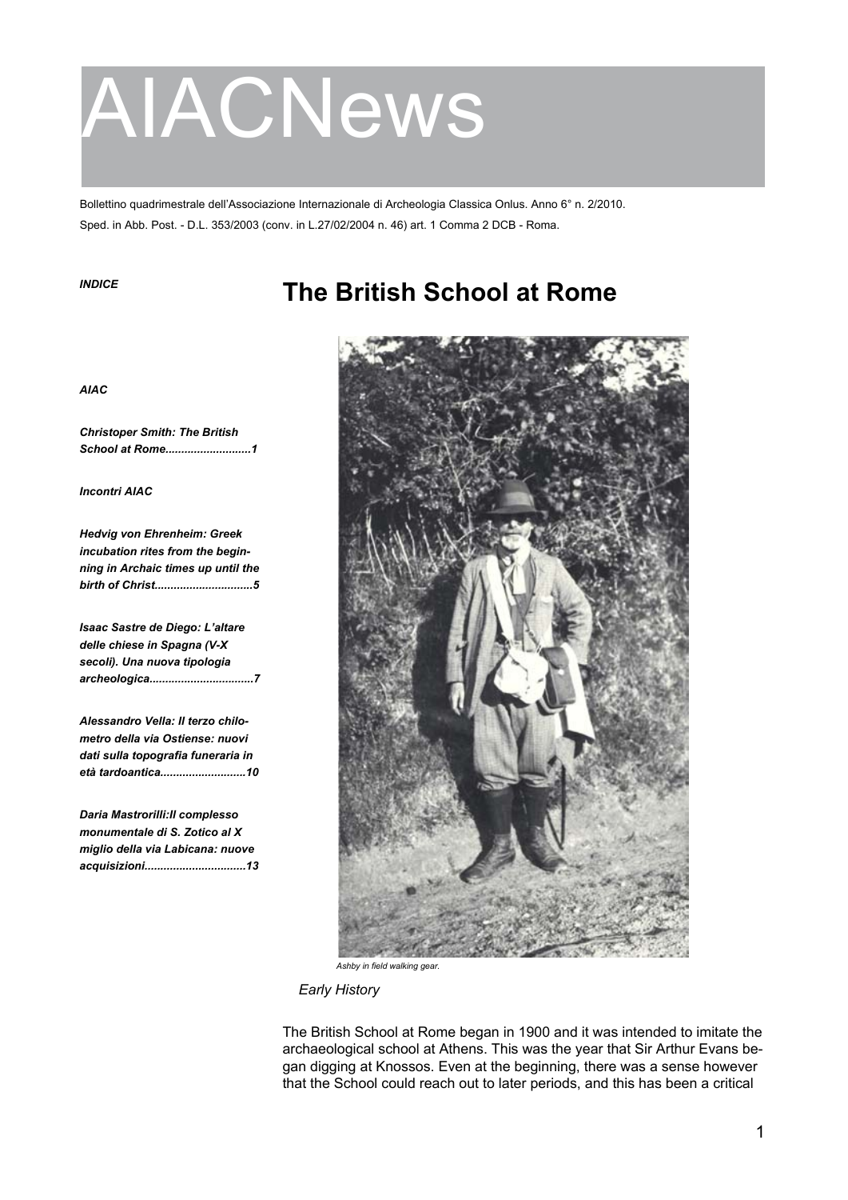# AIACNews

Bollettino quadrimestrale dell'Associazione Internazionale di Archeologia Classica Onlus. Anno 6° n. 2/2010. Sped. in Abb. Post. - D.L. 353/2003 (conv. in L.27/02/2004 n. 46) art. 1 Comma 2 DCB - Roma.

#### *INDICE*

## **The British School at Rome**



*Ashby in field walking gear.*

## *Early History*

The British School at Rome began in 1900 and it was intended to imitate the archaeological school at Athens. This was the year that Sir Arthur Evans began digging at Knossos. Even at the beginning, there was a sense however that the School could reach out to later periods, and this has been a critical

*AIAC* 

*Christoper Smith: The British School at Rome...........................1*

*Incontri AIAC*

| <b>Hedvig von Ehrenheim: Greek</b> |
|------------------------------------|
| incubation rites from the begin-   |
| ning in Archaic times up until the |
|                                    |

*Isaac Sastre de Diego: L'altare delle chiese in Spagna (V-X secoli). Una nuova tipologia archeologica.................................7*

*Alessandro Vella: Il terzo chilometro della via Ostiense: nuovi dati sulla topografia funeraria in età tardoantica...........................10*

*Daria Mastrorilli:Il complesso monumentale di S. Zotico al X miglio della via Labicana: nuove acquisizioni................................13*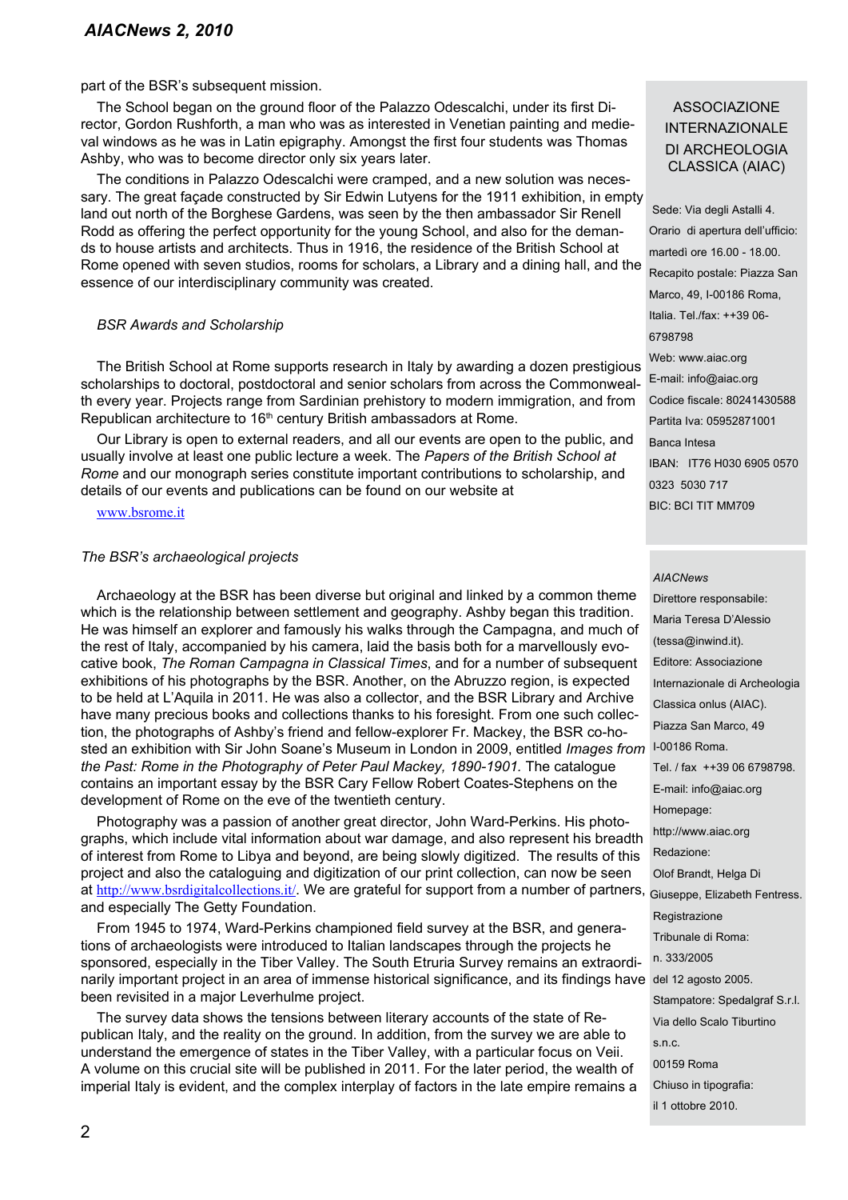part of the BSR's subsequent mission.

The School began on the ground floor of the Palazzo Odescalchi, under its first Director, Gordon Rushforth, a man who was as interested in Venetian painting and medieval windows as he was in Latin epigraphy. Amongst the first four students was Thomas Ashby, who was to become director only six years later.

The conditions in Palazzo Odescalchi were cramped, and a new solution was necessary. The great façade constructed by Sir Edwin Lutyens for the 1911 exhibition, in empty land out north of the Borghese Gardens, was seen by the then ambassador Sir Renell Rodd as offering the perfect opportunity for the young School, and also for the demands to house artists and architects. Thus in 1916, the residence of the British School at Rome opened with seven studios, rooms for scholars, a Library and a dining hall, and the essence of our interdisciplinary community was created.

#### *BSR Awards and Scholarship*

The British School at Rome supports research in Italy by awarding a dozen prestigious scholarships to doctoral, postdoctoral and senior scholars from across the Commonwealth every year. Projects range from Sardinian prehistory to modern immigration, and from Republican architecture to 16<sup>th</sup> century British ambassadors at Rome.

Our Library is open to external readers, and all our events are open to the public, and usually involve at least one public lecture a week. The *Papers of the British School at Rome* and our monograph series constitute important contributions to scholarship, and details of our events and publications can be found on our website at

www.bsrome.it

### *The BSR's archaeological projects*

Archaeology at the BSR has been diverse but original and linked by a common theme which is the relationship between settlement and geography. Ashby began this tradition. He was himself an explorer and famously his walks through the Campagna, and much of the rest of Italy, accompanied by his camera, laid the basis both for a marvellously evocative book, *The Roman Campagna in Classical Times*, and for a number of subsequent exhibitions of his photographs by the BSR. Another, on the Abruzzo region, is expected to be held at L'Aquila in 2011. He was also a collector, and the BSR Library and Archive have many precious books and collections thanks to his foresight. From one such collection, the photographs of Ashby's friend and fellow-explorer Fr. Mackey, the BSR co-hosted an exhibition with Sir John Soane's Museum in London in 2009, entitled *Images from the Past: Rome in the Photography of Peter Paul Mackey, 1890-1901.* The catalogue contains an important essay by the BSR Cary Fellow Robert Coates-Stephens on the development of Rome on the eve of the twentieth century.

Photography was a passion of another great director, John Ward-Perkins. His photographs, which include vital information about war damage, and also represent his breadth of interest from Rome to Libya and beyond, are being slowly digitized. The results of this project and also the cataloguing and digitization of our print collection, can now be seen at http://www.bsrdigitalcollections.it/. We are grateful for support from a number of partners, and especially The Getty Foundation.

From 1945 to 1974, Ward-Perkins championed field survey at the BSR, and generations of archaeologists were introduced to Italian landscapes through the projects he sponsored, especially in the Tiber Valley. The South Etruria Survey remains an extraordinarily important project in an area of immense historical significance, and its findings have been revisited in a major Leverhulme project.

The survey data shows the tensions between literary accounts of the state of Republican Italy, and the reality on the ground. In addition, from the survey we are able to understand the emergence of states in the Tiber Valley, with a particular focus on Veii. A volume on this crucial site will be published in 2011. For the later period, the wealth of imperial Italy is evident, and the complex interplay of factors in the late empire remains a

## ASSOCIAZIONE INTERNAZIONALE DI ARCHEOLOGIA CLASSICA (AIAC)

 Sede: Via degli Astalli 4. Orario di apertura dell'ufficio: martedì ore 16.00 - 18.00. Recapito postale: Piazza San Marco, 49, I-00186 Roma, Italia. Tel./fax: ++39 06- 6798798 Web: www.aiac.org

 E-mail: info@aiac.org Codice fiscale: 80241430588 Partita Iva: 05952871001 Banca Intesa IBAN: IT76 H030 6905 0570 0323 5030 717 BIC: BCI TIT MM709

#### *AIACNews*

 Direttore responsabile: Maria Teresa D'Alessio (tessa@inwind.it). Editore: Associazione Internazionale di Archeologia Classica onlus (AIAC). Piazza San Marco, 49 I-00186 Roma. Tel. / fax ++39 06 6798798. E-mail: info@aiac.org Homepage: http://www.aiac.org Redazione: Olof Brandt, Helga Di Giuseppe, Elizabeth Fentress. Registrazione Tribunale di Roma: n. 333/2005 del 12 agosto 2005. Stampatore: Spedalgraf S.r.l. Via dello Scalo Tiburtino s.n.c. 00159 Roma Chiuso in tipografia: il 1 ottobre 2010.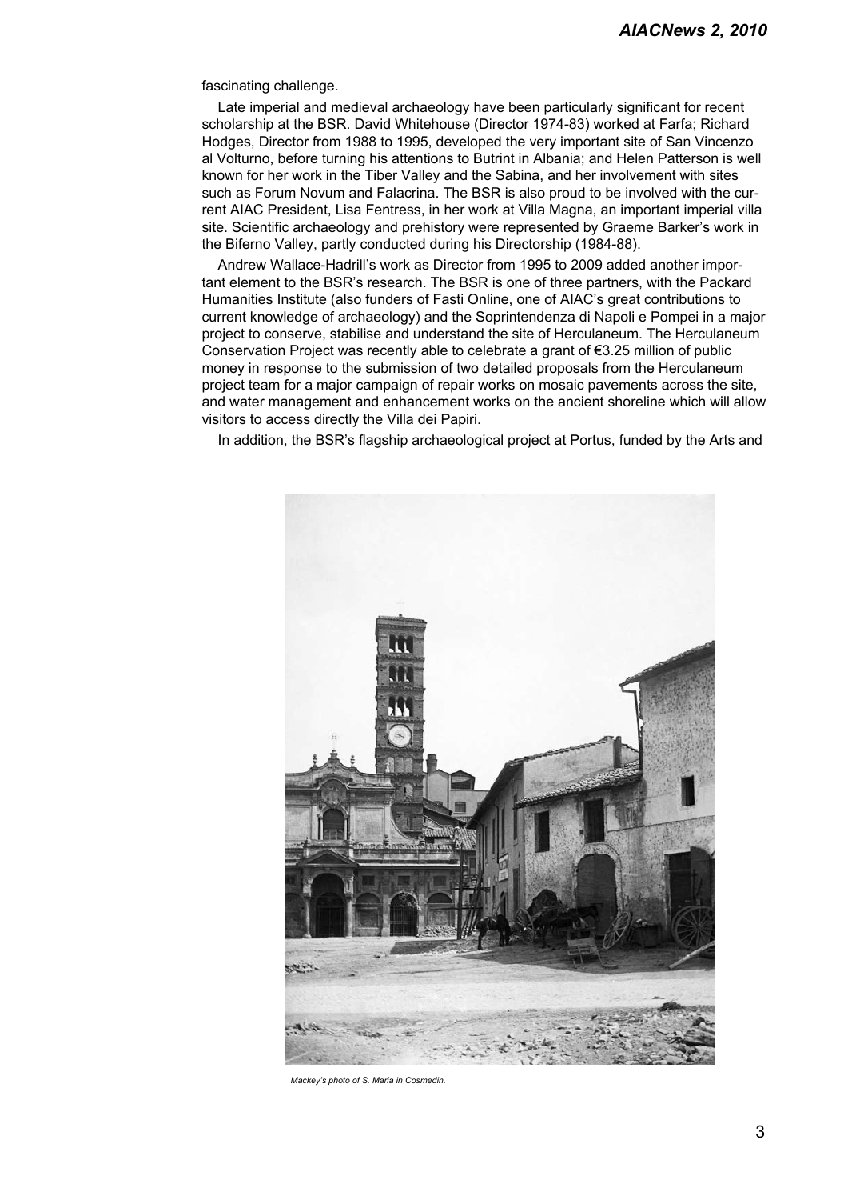fascinating challenge.

Late imperial and medieval archaeology have been particularly significant for recent scholarship at the BSR. David Whitehouse (Director 1974-83) worked at Farfa; Richard Hodges, Director from 1988 to 1995, developed the very important site of San Vincenzo al Volturno, before turning his attentions to Butrint in Albania; and Helen Patterson is well known for her work in the Tiber Valley and the Sabina, and her involvement with sites such as Forum Novum and Falacrina. The BSR is also proud to be involved with the current AIAC President, Lisa Fentress, in her work at Villa Magna, an important imperial villa site. Scientific archaeology and prehistory were represented by Graeme Barker's work in the Biferno Valley, partly conducted during his Directorship (1984-88).

Andrew Wallace-Hadrill's work as Director from 1995 to 2009 added another important element to the BSR's research. The BSR is one of three partners, with the Packard Humanities Institute (also funders of Fasti Online, one of AIAC's great contributions to current knowledge of archaeology) and the Soprintendenza di Napoli e Pompei in a major project to conserve, stabilise and understand the site of Herculaneum. The Herculaneum Conservation Project was recently able to celebrate a grant of €3.25 million of public money in response to the submission of two detailed proposals from the Herculaneum project team for a major campaign of repair works on mosaic pavements across the site, and water management and enhancement works on the ancient shoreline which will allow visitors to access directly the Villa dei Papiri.

In addition, the BSR's flagship archaeological project at Portus, funded by the Arts and



*Mackey's photo of S. Maria in Cosmedin.*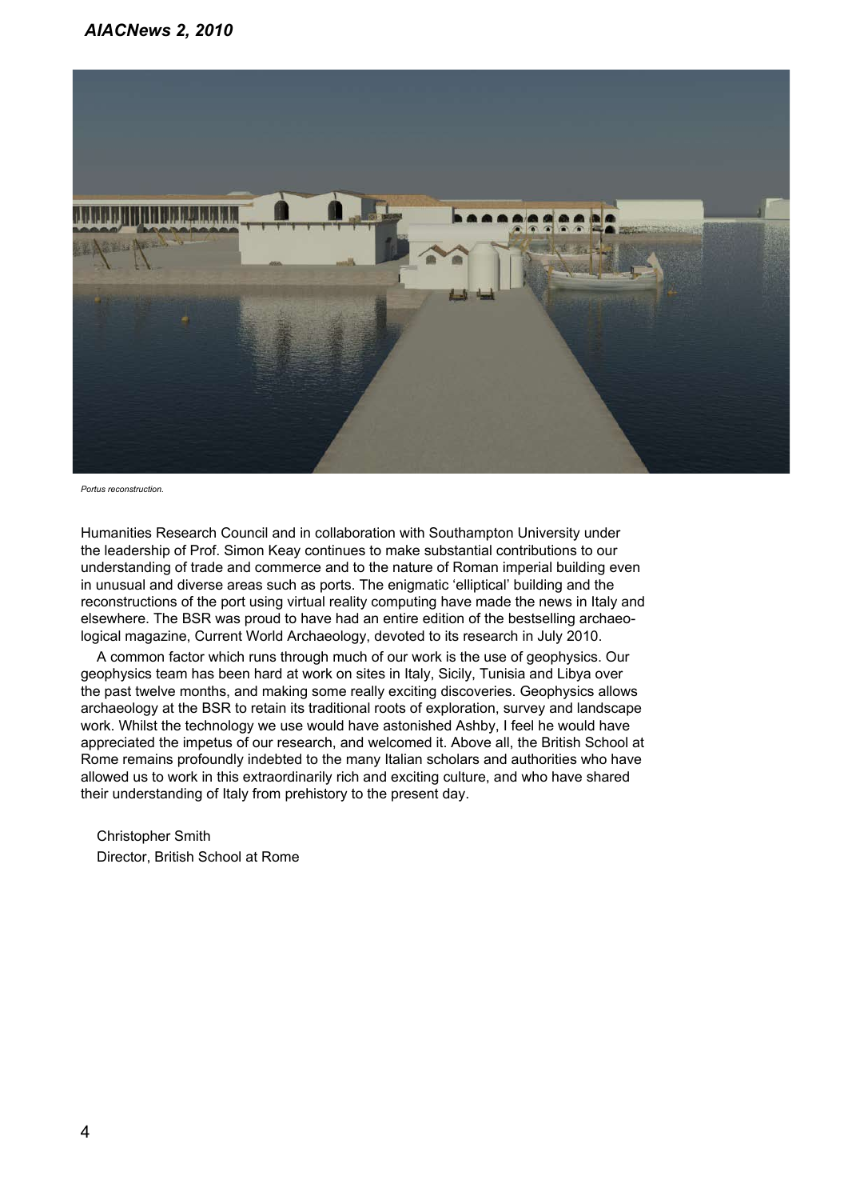

*Portus reconstruction.*

Humanities Research Council and in collaboration with Southampton University under the leadership of Prof. Simon Keay continues to make substantial contributions to our understanding of trade and commerce and to the nature of Roman imperial building even in unusual and diverse areas such as ports. The enigmatic 'elliptical' building and the reconstructions of the port using virtual reality computing have made the news in Italy and elsewhere. The BSR was proud to have had an entire edition of the bestselling archaeological magazine, Current World Archaeology, devoted to its research in July 2010.

A common factor which runs through much of our work is the use of geophysics. Our geophysics team has been hard at work on sites in Italy, Sicily, Tunisia and Libya over the past twelve months, and making some really exciting discoveries. Geophysics allows archaeology at the BSR to retain its traditional roots of exploration, survey and landscape work. Whilst the technology we use would have astonished Ashby, I feel he would have appreciated the impetus of our research, and welcomed it. Above all, the British School at Rome remains profoundly indebted to the many Italian scholars and authorities who have allowed us to work in this extraordinarily rich and exciting culture, and who have shared their understanding of Italy from prehistory to the present day.

Christopher Smith Director, British School at Rome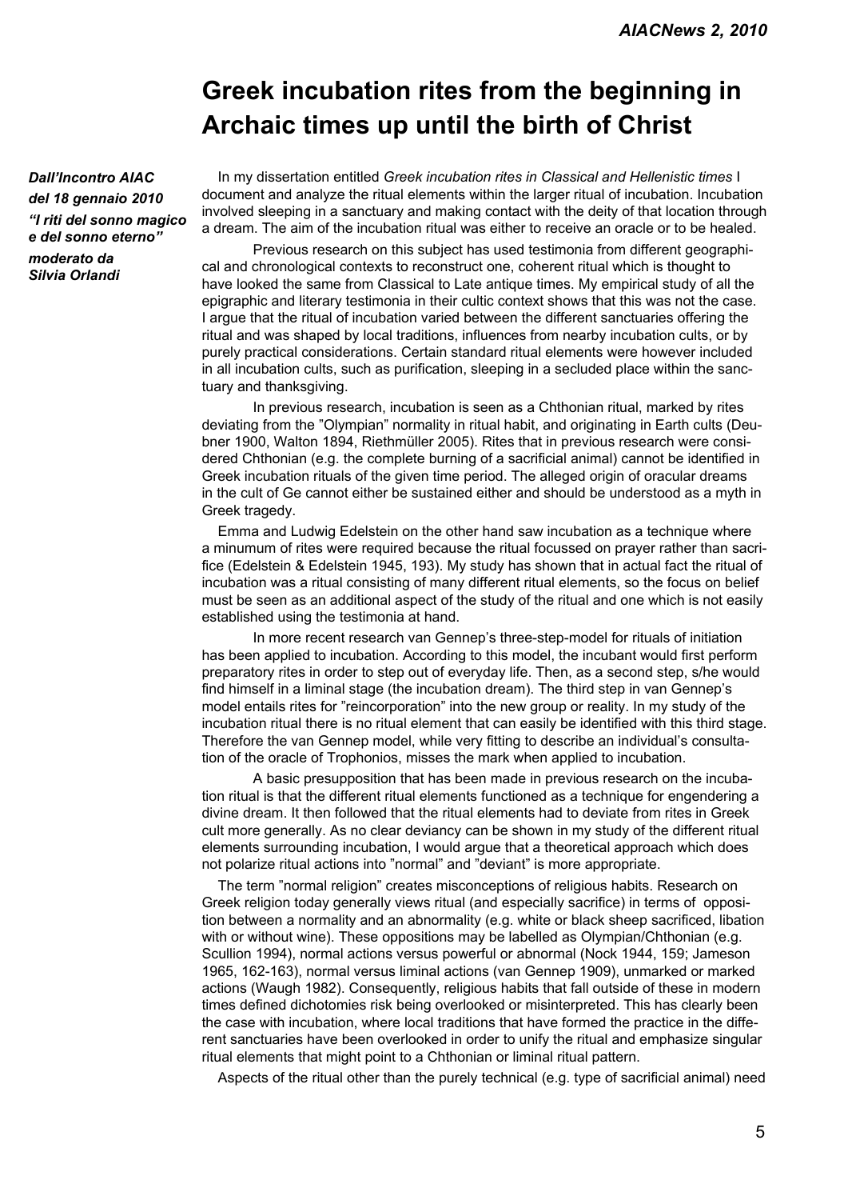## **Greek incubation rites from the beginning in Archaic times up until the birth of Christ**

*Dall'Incontro AIAC del 18 gennaio 2010 "I riti del sonno magico e del sonno eterno" moderato da Silvia Orlandi*

In my dissertation entitled *Greek incubation rites in Classical and Hellenistic times* I document and analyze the ritual elements within the larger ritual of incubation. Incubation involved sleeping in a sanctuary and making contact with the deity of that location through a dream. The aim of the incubation ritual was either to receive an oracle or to be healed.

Previous research on this subject has used testimonia from different geographical and chronological contexts to reconstruct one, coherent ritual which is thought to have looked the same from Classical to Late antique times. My empirical study of all the epigraphic and literary testimonia in their cultic context shows that this was not the case. I argue that the ritual of incubation varied between the different sanctuaries offering the ritual and was shaped by local traditions, influences from nearby incubation cults, or by purely practical considerations. Certain standard ritual elements were however included in all incubation cults, such as purification, sleeping in a secluded place within the sanctuary and thanksgiving.

In previous research, incubation is seen as a Chthonian ritual, marked by rites deviating from the "Olympian" normality in ritual habit, and originating in Earth cults (Deubner 1900, Walton 1894, Riethmüller 2005). Rites that in previous research were considered Chthonian (e.g. the complete burning of a sacrificial animal) cannot be identified in Greek incubation rituals of the given time period. The alleged origin of oracular dreams in the cult of Ge cannot either be sustained either and should be understood as a myth in Greek tragedy.

Emma and Ludwig Edelstein on the other hand saw incubation as a technique where a minumum of rites were required because the ritual focussed on prayer rather than sacrifice (Edelstein & Edelstein 1945, 193). My study has shown that in actual fact the ritual of incubation was a ritual consisting of many different ritual elements, so the focus on belief must be seen as an additional aspect of the study of the ritual and one which is not easily established using the testimonia at hand.

In more recent research van Gennep's three-step-model for rituals of initiation has been applied to incubation. According to this model, the incubant would first perform preparatory rites in order to step out of everyday life. Then, as a second step, s/he would find himself in a liminal stage (the incubation dream). The third step in van Gennep's model entails rites for "reincorporation" into the new group or reality. In my study of the incubation ritual there is no ritual element that can easily be identified with this third stage. Therefore the van Gennep model, while very fitting to describe an individual's consultation of the oracle of Trophonios, misses the mark when applied to incubation.

A basic presupposition that has been made in previous research on the incubation ritual is that the different ritual elements functioned as a technique for engendering a divine dream. It then followed that the ritual elements had to deviate from rites in Greek cult more generally. As no clear deviancy can be shown in my study of the different ritual elements surrounding incubation, I would argue that a theoretical approach which does not polarize ritual actions into "normal" and "deviant" is more appropriate.

The term "normal religion" creates misconceptions of religious habits. Research on Greek religion today generally views ritual (and especially sacrifice) in terms of opposition between a normality and an abnormality (e.g. white or black sheep sacrificed, libation with or without wine). These oppositions may be labelled as Olympian/Chthonian (e.g. Scullion 1994), normal actions versus powerful or abnormal (Nock 1944, 159; Jameson 1965, 162-163), normal versus liminal actions (van Gennep 1909), unmarked or marked actions (Waugh 1982). Consequently, religious habits that fall outside of these in modern times defined dichotomies risk being overlooked or misinterpreted. This has clearly been the case with incubation, where local traditions that have formed the practice in the different sanctuaries have been overlooked in order to unify the ritual and emphasize singular ritual elements that might point to a Chthonian or liminal ritual pattern.

Aspects of the ritual other than the purely technical (e.g. type of sacrificial animal) need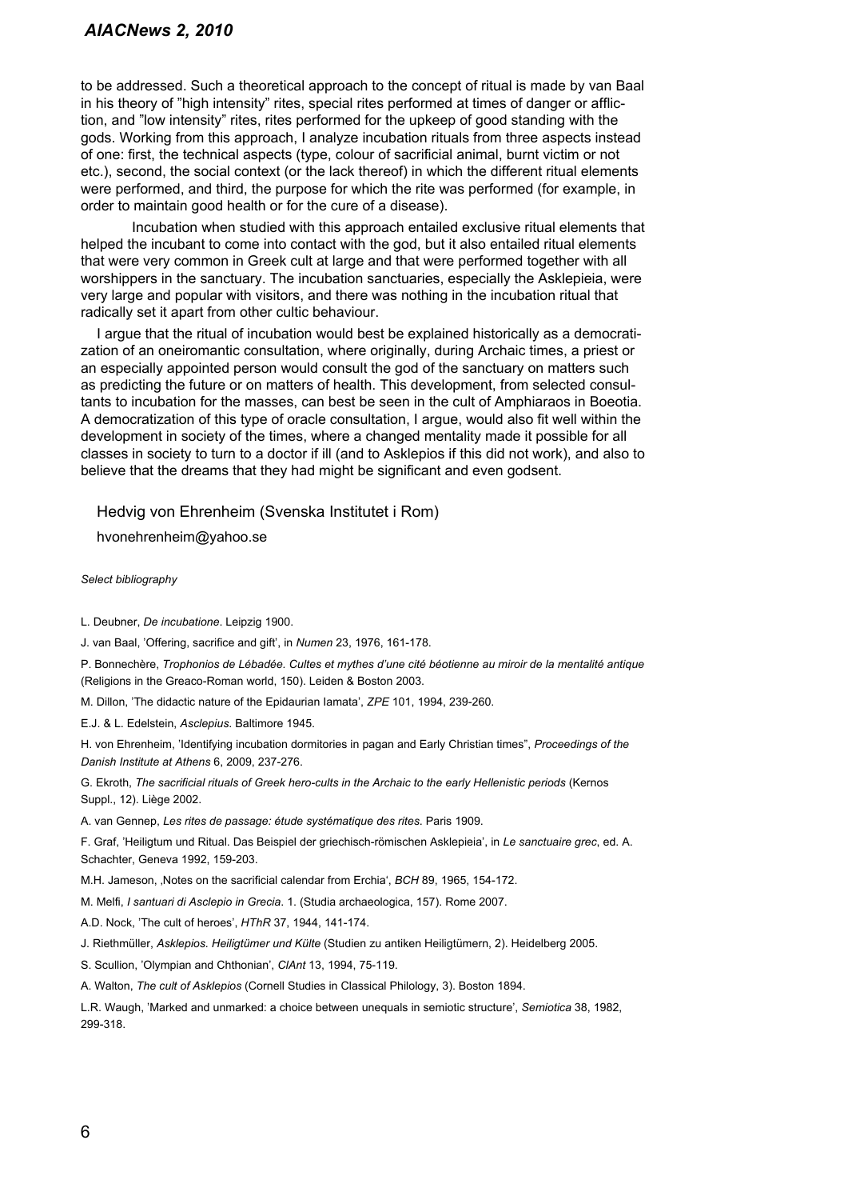to be addressed. Such a theoretical approach to the concept of ritual is made by van Baal in his theory of "high intensity" rites, special rites performed at times of danger or affliction, and "low intensity" rites, rites performed for the upkeep of good standing with the gods. Working from this approach, I analyze incubation rituals from three aspects instead of one: first, the technical aspects (type, colour of sacrificial animal, burnt victim or not etc.), second, the social context (or the lack thereof) in which the different ritual elements were performed, and third, the purpose for which the rite was performed (for example, in order to maintain good health or for the cure of a disease).

Incubation when studied with this approach entailed exclusive ritual elements that helped the incubant to come into contact with the god, but it also entailed ritual elements that were very common in Greek cult at large and that were performed together with all worshippers in the sanctuary. The incubation sanctuaries, especially the Asklepieia, were very large and popular with visitors, and there was nothing in the incubation ritual that radically set it apart from other cultic behaviour.

I argue that the ritual of incubation would best be explained historically as a democratization of an oneiromantic consultation, where originally, during Archaic times, a priest or an especially appointed person would consult the god of the sanctuary on matters such as predicting the future or on matters of health. This development, from selected consultants to incubation for the masses, can best be seen in the cult of Amphiaraos in Boeotia. A democratization of this type of oracle consultation, I argue, would also fit well within the development in society of the times, where a changed mentality made it possible for all classes in society to turn to a doctor if ill (and to Asklepios if this did not work), and also to believe that the dreams that they had might be significant and even godsent.

Hedvig von Ehrenheim (Svenska Institutet i Rom)

hvonehrenheim@yahoo.se

*Select bibliography*

L. Deubner, *De incubatione*. Leipzig 1900.

J. van Baal, 'Offering, sacrifice and gift', in *Numen* 23, 1976, 161-178.

P. Bonnechère, *Trophonios de Lébadée. Cultes et mythes d'une cité béotienne au miroir de la mentalité antique* (Religions in the Greaco-Roman world, 150). Leiden & Boston 2003.

M. Dillon, 'The didactic nature of the Epidaurian Iamata', *ZPE* 101, 1994, 239-260.

E.J. & L. Edelstein, *Asclepius*. Baltimore 1945.

H. von Ehrenheim, 'Identifying incubation dormitories in pagan and Early Christian times", *Proceedings of the Danish Institute at Athens* 6, 2009, 237-276.

G. Ekroth, *The sacrificial rituals of Greek hero-cults in the Archaic to the early Hellenistic periods* (Kernos Suppl., 12). Liège 2002.

A. van Gennep, *Les rites de passage: étude systématique des rites*. Paris 1909.

F. Graf, 'Heiligtum und Ritual. Das Beispiel der griechisch-römischen Asklepieia', in *Le sanctuaire grec*, ed. A. Schachter, Geneva 1992, 159-203.

M.H. Jameson, 'Notes on the sacrificial calendar from Erchia', *BCH* 89, 1965, 154-172.

M. Melfi, *I santuari di Asclepio in Grecia*. 1. (Studia archaeologica, 157). Rome 2007.

A.D. Nock, 'The cult of heroes', *HThR* 37, 1944, 141-174.

J. Riethmüller, *Asklepios. Heiligtümer und Külte* (Studien zu antiken Heiligtümern, 2). Heidelberg 2005.

S. Scullion, 'Olympian and Chthonian', *ClAnt* 13, 1994, 75-119.

A. Walton, *The cult of Asklepios* (Cornell Studies in Classical Philology, 3). Boston 1894.

L.R. Waugh, 'Marked and unmarked: a choice between unequals in semiotic structure', *Semiotica* 38, 1982, 299-318.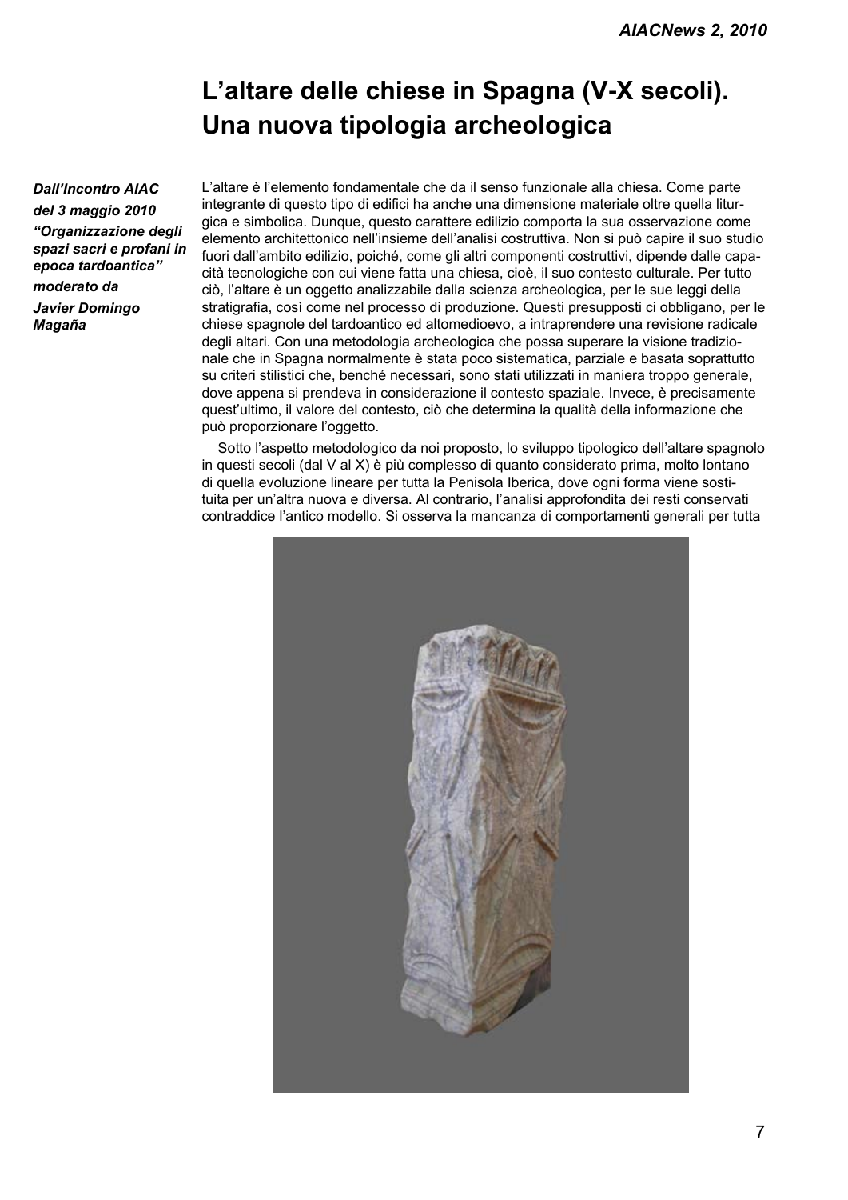# **L'altare delle chiese in Spagna (V-X secoli). Una nuova tipologia archeologica**

*Dall'Incontro AIAC del 3 maggio 2010 "Organizzazione degli spazi sacri e profani in epoca tardoantica" moderato da Javier Domingo Magaña*

L'altare è l'elemento fondamentale che da il senso funzionale alla chiesa. Come parte integrante di questo tipo di edifici ha anche una dimensione materiale oltre quella liturgica e simbolica. Dunque, questo carattere edilizio comporta la sua osservazione come elemento architettonico nell'insieme dell'analisi costruttiva. Non si può capire il suo studio fuori dall'ambito edilizio, poiché, come gli altri componenti costruttivi, dipende dalle capacità tecnologiche con cui viene fatta una chiesa, cioè, il suo contesto culturale. Per tutto ciò, l'altare è un oggetto analizzabile dalla scienza archeologica, per le sue leggi della stratigrafia, così come nel processo di produzione. Questi presupposti ci obbligano, per le chiese spagnole del tardoantico ed altomedioevo, a intraprendere una revisione radicale degli altari. Con una metodologia archeologica che possa superare la visione tradizionale che in Spagna normalmente è stata poco sistematica, parziale e basata soprattutto su criteri stilistici che, benché necessari, sono stati utilizzati in maniera troppo generale, dove appena si prendeva in considerazione il contesto spaziale. Invece, è precisamente quest'ultimo, il valore del contesto, ciò che determina la qualità della informazione che può proporzionare l'oggetto.

Sotto l'aspetto metodologico da noi proposto, lo sviluppo tipologico dell'altare spagnolo in questi secoli (dal V al X) è più complesso di quanto considerato prima, molto lontano di quella evoluzione lineare per tutta la Penisola Iberica, dove ogni forma viene sostituita per un'altra nuova e diversa. Al contrario, l'analisi approfondita dei resti conservati contraddice l'antico modello. Si osserva la mancanza di comportamenti generali per tutta

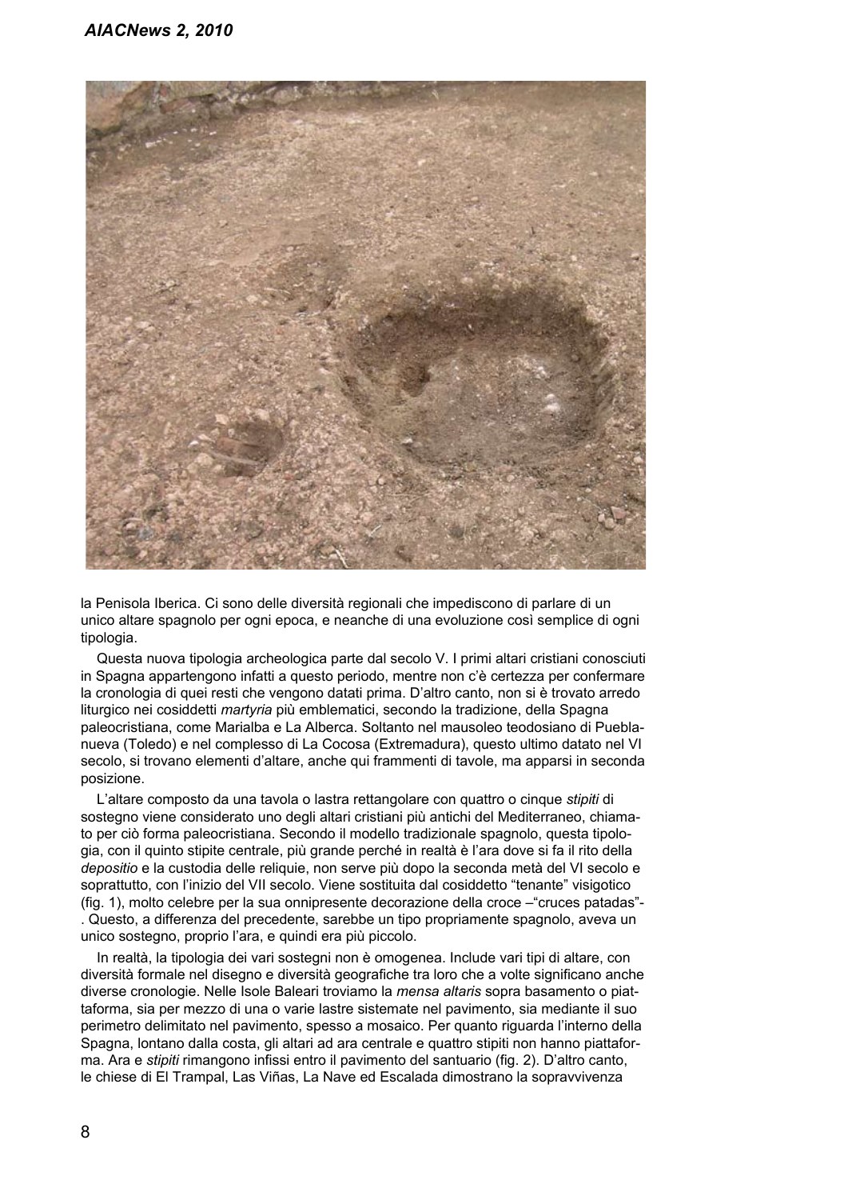

la Penisola Iberica. Ci sono delle diversità regionali che impediscono di parlare di un unico altare spagnolo per ogni epoca, e neanche di una evoluzione così semplice di ogni tipologia.

Questa nuova tipologia archeologica parte dal secolo V. I primi altari cristiani conosciuti in Spagna appartengono infatti a questo periodo, mentre non c'è certezza per confermare la cronologia di quei resti che vengono datati prima. D'altro canto, non si è trovato arredo liturgico nei cosiddetti *martyria* più emblematici, secondo la tradizione, della Spagna paleocristiana, come Marialba e La Alberca. Soltanto nel mausoleo teodosiano di Pueblanueva (Toledo) e nel complesso di La Cocosa (Extremadura), questo ultimo datato nel VI secolo, si trovano elementi d'altare, anche qui frammenti di tavole, ma apparsi in seconda posizione.

L'altare composto da una tavola o lastra rettangolare con quattro o cinque *stipiti* di sostegno viene considerato uno degli altari cristiani più antichi del Mediterraneo, chiamato per ciò forma paleocristiana. Secondo il modello tradizionale spagnolo, questa tipologia, con il quinto stipite centrale, più grande perché in realtà è l'ara dove si fa il rito della *depositio* e la custodia delle reliquie, non serve più dopo la seconda metà del VI secolo e soprattutto, con l'inizio del VII secolo. Viene sostituita dal cosiddetto "tenante" visigotico (fig. 1), molto celebre per la sua onnipresente decorazione della croce –"cruces patadas"- . Questo, a differenza del precedente, sarebbe un tipo propriamente spagnolo, aveva un unico sostegno, proprio l'ara, e quindi era più piccolo.

In realtà, la tipologia dei vari sostegni non è omogenea. Include vari tipi di altare, con diversità formale nel disegno e diversità geografiche tra loro che a volte significano anche diverse cronologie. Nelle Isole Baleari troviamo la *mensa altaris* sopra basamento o piattaforma, sia per mezzo di una o varie lastre sistemate nel pavimento, sia mediante il suo perimetro delimitato nel pavimento, spesso a mosaico. Per quanto riguarda l'interno della Spagna, lontano dalla costa, gli altari ad ara centrale e quattro stipiti non hanno piattaforma. Ara e *stipiti* rimangono infissi entro il pavimento del santuario (fig. 2). D'altro canto, le chiese di El Trampal, Las Viñas, La Nave ed Escalada dimostrano la sopravvivenza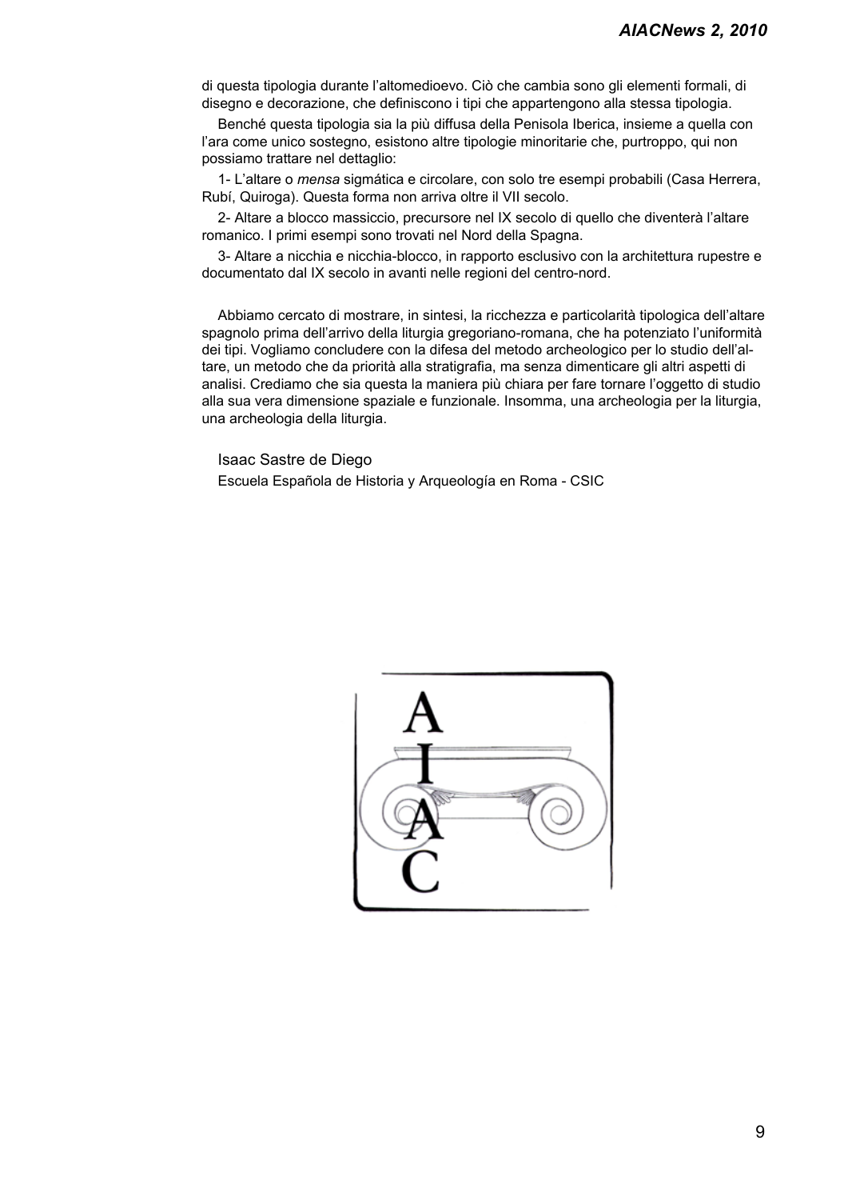di questa tipologia durante l'altomedioevo. Ciò che cambia sono gli elementi formali, di disegno e decorazione, che definiscono i tipi che appartengono alla stessa tipologia.

Benché questa tipologia sia la più diffusa della Penisola Iberica, insieme a quella con l'ara come unico sostegno, esistono altre tipologie minoritarie che, purtroppo, qui non possiamo trattare nel dettaglio:

1- L'altare o *mensa* sigmática e circolare, con solo tre esempi probabili (Casa Herrera, Rubí, Quiroga). Questa forma non arriva oltre il VII secolo.

2- Altare a blocco massiccio, precursore nel IX secolo di quello che diventerà l'altare romanico. I primi esempi sono trovati nel Nord della Spagna.

3- Altare a nicchia e nicchia-blocco, in rapporto esclusivo con la architettura rupestre e documentato dal IX secolo in avanti nelle regioni del centro-nord.

Abbiamo cercato di mostrare, in sintesi, la ricchezza e particolarità tipologica dell'altare spagnolo prima dell'arrivo della liturgia gregoriano-romana, che ha potenziato l'uniformità dei tipi. Vogliamo concludere con la difesa del metodo archeologico per lo studio dell'altare, un metodo che da priorità alla stratigrafia, ma senza dimenticare gli altri aspetti di analisi. Crediamo che sia questa la maniera più chiara per fare tornare l'oggetto di studio alla sua vera dimensione spaziale e funzionale. Insomma, una archeologia per la liturgia, una archeologia della liturgia.

Isaac Sastre de Diego Escuela Española de Historia y Arqueología en Roma - CSIC

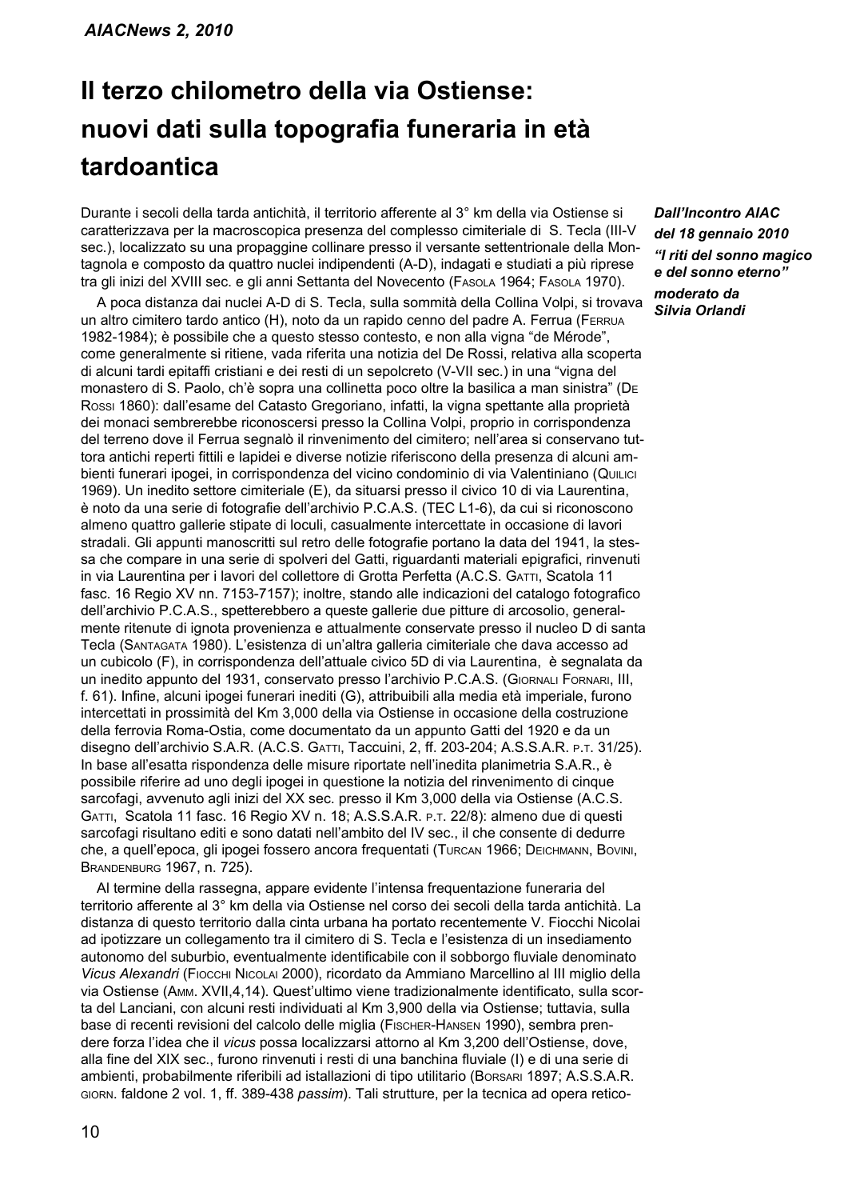# **Il terzo chilometro della via Ostiense: nuovi dati sulla topografia funeraria in età tardoantica**

Durante i secoli della tarda antichità, il territorio afferente al 3° km della via Ostiense si caratterizzava per la macroscopica presenza del complesso cimiteriale di S. Tecla (III-V sec.), localizzato su una propaggine collinare presso il versante settentrionale della Montagnola e composto da quattro nuclei indipendenti (A-D), indagati e studiati a più riprese tra gli inizi del XVIII sec. e gli anni Settanta del Novecento (Fasola 1964; Fasola 1970).

A poca distanza dai nuclei A-D di S. Tecla, sulla sommità della Collina Volpi, si trovava un altro cimitero tardo antico (H), noto da un rapido cenno del padre A. Ferrua (Ferrua 1982-1984); è possibile che a questo stesso contesto, e non alla vigna "de Mérode", come generalmente si ritiene, vada riferita una notizia del De Rossi, relativa alla scoperta di alcuni tardi epitaffi cristiani e dei resti di un sepolcreto (V-VII sec.) in una "vigna del monastero di S. Paolo, ch'è sopra una collinetta poco oltre la basilica a man sinistra" (De Rossi 1860): dall'esame del Catasto Gregoriano, infatti, la vigna spettante alla proprietà dei monaci sembrerebbe riconoscersi presso la Collina Volpi, proprio in corrispondenza del terreno dove il Ferrua segnalò il rinvenimento del cimitero; nell'area si conservano tuttora antichi reperti fittili e lapidei e diverse notizie riferiscono della presenza di alcuni ambienti funerari ipogei, in corrispondenza del vicino condominio di via Valentiniano (Quilici 1969). Un inedito settore cimiteriale (E), da situarsi presso il civico 10 di via Laurentina, è noto da una serie di fotografie dell'archivio P.C.A.S. (TEC L1-6), da cui si riconoscono almeno quattro gallerie stipate di loculi, casualmente intercettate in occasione di lavori stradali. Gli appunti manoscritti sul retro delle fotografie portano la data del 1941, la stessa che compare in una serie di spolveri del Gatti, riguardanti materiali epigrafici, rinvenuti in via Laurentina per i lavori del collettore di Grotta Perfetta (A.C.S. GATTI, Scatola 11 fasc. 16 Regio XV nn. 7153-7157); inoltre, stando alle indicazioni del catalogo fotografico dell'archivio P.C.A.S., spetterebbero a queste gallerie due pitture di arcosolio, generalmente ritenute di ignota provenienza e attualmente conservate presso il nucleo D di santa Tecla (Santagata 1980). L'esistenza di un'altra galleria cimiteriale che dava accesso ad un cubicolo (F), in corrispondenza dell'attuale civico 5D di via Laurentina, è segnalata da un inedito appunto del 1931, conservato presso l'archivio P.C.A.S. (Giornali Fornari, III, f. 61). Infine, alcuni ipogei funerari inediti (G), attribuibili alla media età imperiale, furono intercettati in prossimità del Km 3,000 della via Ostiense in occasione della costruzione della ferrovia Roma-Ostia, come documentato da un appunto Gatti del 1920 e da un disegno dell'archivio S.A.R. (A.C.S. GATTI, Taccuini, 2, ff. 203-204; A.S.S.A.R. P.T. 31/25). In base all'esatta rispondenza delle misure riportate nell'inedita planimetria S.A.R., è possibile riferire ad uno degli ipogei in questione la notizia del rinvenimento di cinque sarcofagi, avvenuto agli inizi del XX sec. presso il Km 3,000 della via Ostiense (A.C.S. GATTI, Scatola 11 fasc. 16 Regio XV n. 18; A.S.S.A.R. P.T. 22/8): almeno due di questi sarcofagi risultano editi e sono datati nell'ambito del IV sec., il che consente di dedurre che, a quell'epoca, gli ipogei fossero ancora frequentati (Turcan 1966; Deichmann, Bovini, Brandenburg 1967, n. 725).

Al termine della rassegna, appare evidente l'intensa frequentazione funeraria del territorio afferente al 3° km della via Ostiense nel corso dei secoli della tarda antichità. La distanza di questo territorio dalla cinta urbana ha portato recentemente V. Fiocchi Nicolai ad ipotizzare un collegamento tra il cimitero di S. Tecla e l'esistenza di un insediamento autonomo del suburbio, eventualmente identificabile con il sobborgo fluviale denominato *Vicus Alexandri* (Fiocchi Nicolai 2000), ricordato da Ammiano Marcellino al III miglio della via Ostiense (Amm. XVII,4,14). Quest'ultimo viene tradizionalmente identificato, sulla scorta del Lanciani, con alcuni resti individuati al Km 3,900 della via Ostiense; tuttavia, sulla base di recenti revisioni del calcolo delle miglia (Fischer-Hansen 1990), sembra prendere forza l'idea che il *vicus* possa localizzarsi attorno al Km 3,200 dell'Ostiense, dove, alla fine del XIX sec., furono rinvenuti i resti di una banchina fluviale (I) e di una serie di ambienti, probabilmente riferibili ad istallazioni di tipo utilitario (Borsari 1897; A.S.S.A.R. giorn. faldone 2 vol. 1, ff. 389-438 *passim*). Tali strutture, per la tecnica ad opera retico-

*Dall'Incontro AIAC del 18 gennaio 2010 "I riti del sonno magico e del sonno eterno" moderato da Silvia Orlandi*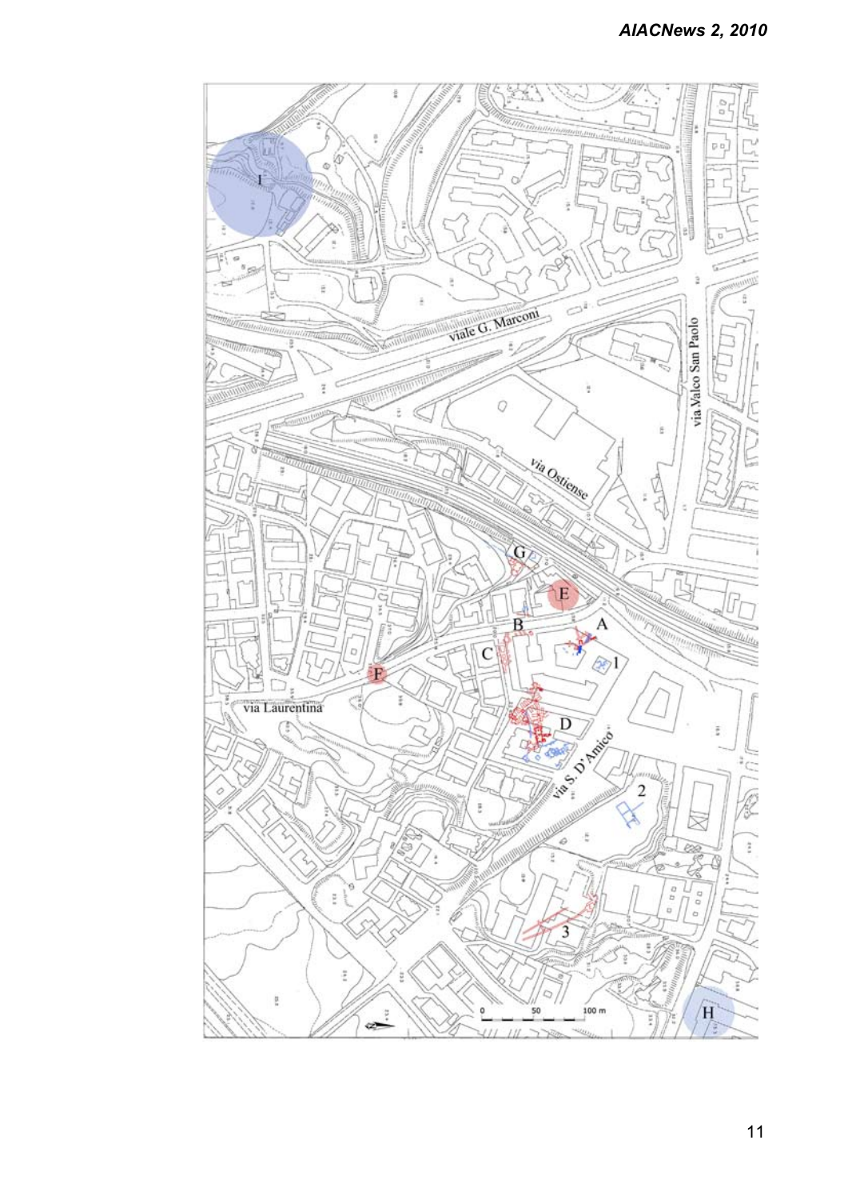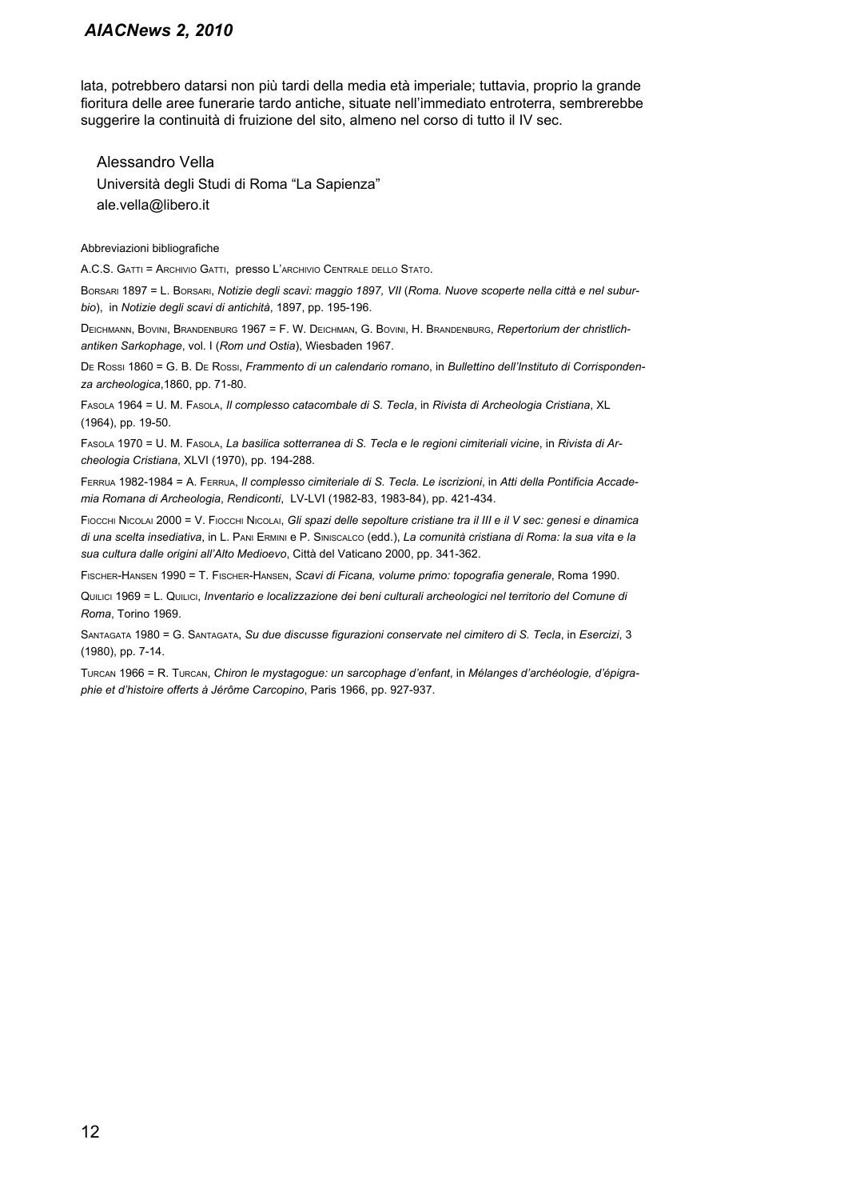## *AIACNews 2, 2010*

lata, potrebbero datarsi non più tardi della media età imperiale; tuttavia, proprio la grande fioritura delle aree funerarie tardo antiche, situate nell'immediato entroterra, sembrerebbe suggerire la continuità di fruizione del sito, almeno nel corso di tutto il IV sec.

Alessandro Vella Università degli Studi di Roma "La Sapienza" ale.vella@libero.it

Abbreviazioni bibliografiche

A.C.S. Gatti = Archivio Gatti, presso L'archivio Centrale dello Stato.

Borsari 1897 = L. Borsari, *Notizie degli scavi: maggio 1897, VII* (*Roma. Nuove scoperte nella città e nel suburbio*), in *Notizie degli scavi di antichità*, 1897, pp. 195-196.

Deichmann, Bovini, Brandenburg 1967 = F. W. Deichman, G. Bovini, H. Brandenburg, *Repertorium der christlichantiken Sarkophage*, vol. I (*Rom und Ostia*), Wiesbaden 1967.

De Rossi 1860 = G. B. De Rossi, *Frammento di un calendario romano*, in *Bullettino dell'Instituto di Corrispondenza archeologica*,1860, pp. 71-80.

Fasola 1964 = U. M. Fasola, *Il complesso catacombale di S. Tecla*, in *Rivista di Archeologia Cristiana*, XL (1964), pp. 19-50.

Fasola 1970 = U. M. Fasola, *La basilica sotterranea di S. Tecla e le regioni cimiteriali vicine*, in *Rivista di Archeologia Cristiana*, XLVI (1970), pp. 194-288.

Ferrua 1982-1984 = A. Ferrua, *Il complesso cimiteriale di S. Tecla. Le iscrizioni*, in *Atti della Pontificia Accademia Romana di Archeologia*, *Rendiconti*, LV-LVI (1982-83, 1983-84), pp. 421-434.

Fiocchi Nicolai 2000 = V. Fiocchi Nicolai, *Gli spazi delle sepolture cristiane tra il III e il V sec: genesi e dinamica di una scelta insediativa*, in L. Pani Ermini e P. Siniscalco (edd.), *La comunità cristiana di Roma: la sua vita e la sua cultura dalle origini all'Alto Medioevo*, Città del Vaticano 2000, pp. 341-362.

Fischer-Hansen 1990 = T. Fischer-Hansen, *Scavi di Ficana, volume primo: topografia generale*, Roma 1990.

Quilici 1969 = L. Quilici, *Inventario e localizzazione dei beni culturali archeologici nel territorio del Comune di Roma*, Torino 1969.

Santagata 1980 = G. Santagata, *Su due discusse figurazioni conservate nel cimitero di S. Tecla*, in *Esercizi*, 3 (1980), pp. 7-14.

Turcan 1966 = R. Turcan, *Chiron le mystagogue: un sarcophage d'enfant*, in *Mélanges d'archéologie, d'épigraphie et d'histoire offerts à Jérôme Carcopino*, Paris 1966, pp. 927-937.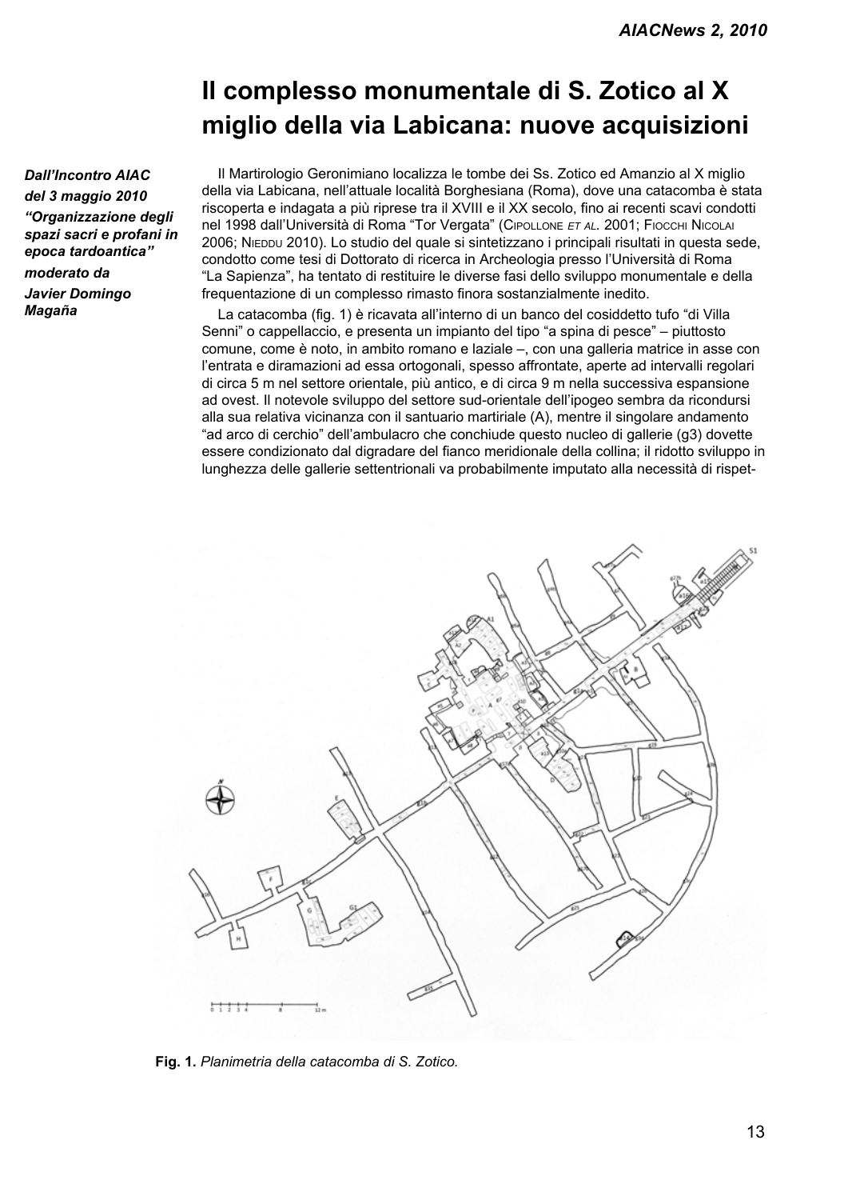# **Il complesso monumentale di S. Zotico al X miglio della via Labicana: nuove acquisizioni**

*Dall'Incontro AIAC del 3 maggio 2010 "Organizzazione degli spazi sacri e profani in epoca tardoantica" moderato da Javier Domingo Magaña*

Il Martirologio Geronimiano localizza le tombe dei Ss. Zotico ed Amanzio al X miglio della via Labicana, nell'attuale località Borghesiana (Roma), dove una catacomba è stata riscoperta e indagata a più riprese tra il XVIII e il XX secolo, fino ai recenti scavi condotti nel 1998 dall'Università di Roma "Tor Vergata" (Cipollone *et al.* 2001; Fiocchi Nicolai 2006; NIEDDU 2010). Lo studio del quale si sintetizzano i principali risultati in questa sede, condotto come tesi di Dottorato di ricerca in Archeologia presso l'Università di Roma "La Sapienza", ha tentato di restituire le diverse fasi dello sviluppo monumentale e della frequentazione di un complesso rimasto finora sostanzialmente inedito.

La catacomba (fig. 1) è ricavata all'interno di un banco del cosiddetto tufo "di Villa Senni" o cappellaccio, e presenta un impianto del tipo "a spina di pesce" – piuttosto comune, come è noto, in ambito romano e laziale –, con una galleria matrice in asse con l'entrata e diramazioni ad essa ortogonali, spesso affrontate, aperte ad intervalli regolari di circa 5 m nel settore orientale, più antico, e di circa 9 m nella successiva espansione ad ovest. Il notevole sviluppo del settore sud-orientale dell'ipogeo sembra da ricondursi alla sua relativa vicinanza con il santuario martiriale (A), mentre il singolare andamento "ad arco di cerchio" dell'ambulacro che conchiude questo nucleo di gallerie (g3) dovette essere condizionato dal digradare del fianco meridionale della collina; il ridotto sviluppo in lunghezza delle gallerie settentrionali va probabilmente imputato alla necessità di rispet-



**Fig. 1.** *Planimetria della catacomba di S. Zotico.*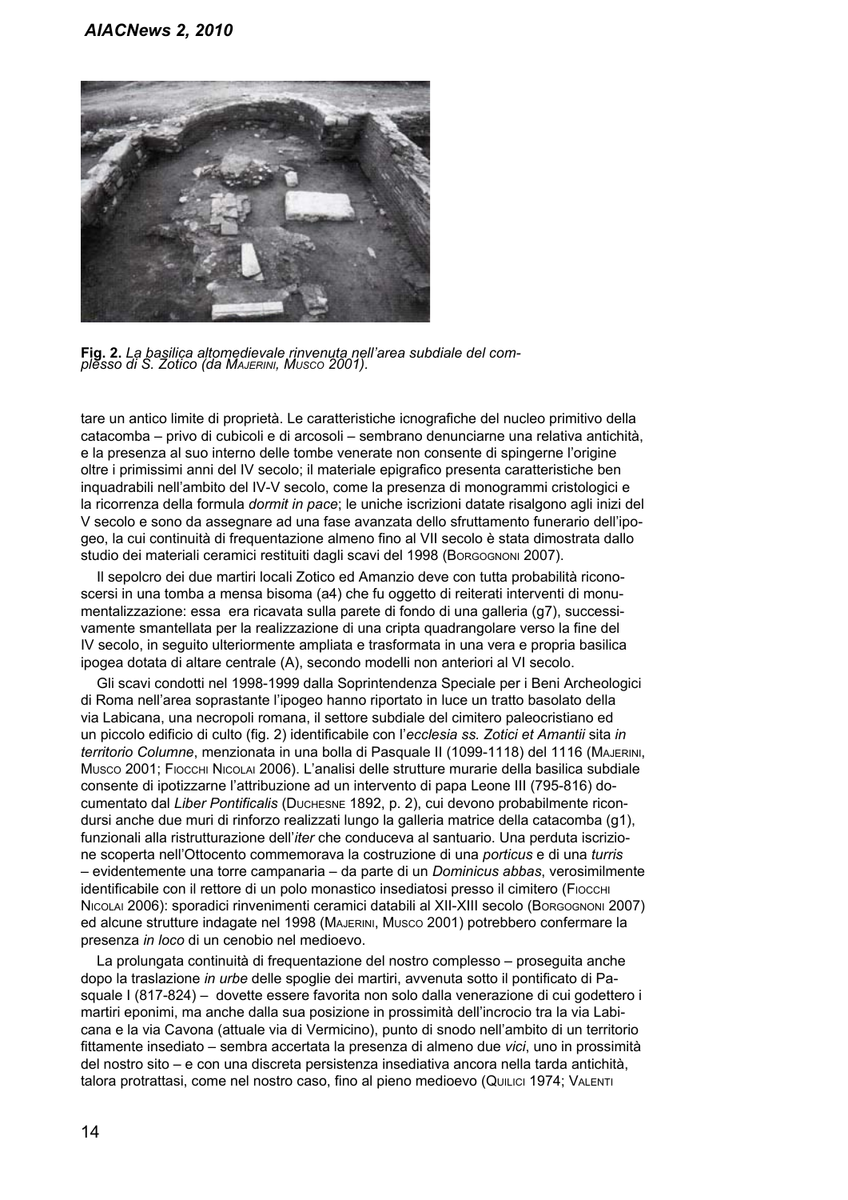

**Fig. 2.** *La basilica altomedievale rinvenuta nell'area subdiale del com- plesso di S. Zotico (da Majerini, Musco 2001).*

tare un antico limite di proprietà. Le caratteristiche icnografiche del nucleo primitivo della catacomba – privo di cubicoli e di arcosoli – sembrano denunciarne una relativa antichità, e la presenza al suo interno delle tombe venerate non consente di spingerne l'origine oltre i primissimi anni del IV secolo; il materiale epigrafico presenta caratteristiche ben inquadrabili nell'ambito del IV-V secolo, come la presenza di monogrammi cristologici e la ricorrenza della formula *dormit in pace*; le uniche iscrizioni datate risalgono agli inizi del V secolo e sono da assegnare ad una fase avanzata dello sfruttamento funerario dell'ipogeo, la cui continuità di frequentazione almeno fino al VII secolo è stata dimostrata dallo studio dei materiali ceramici restituiti dagli scavi del 1998 (Borgognoni 2007).

Il sepolcro dei due martiri locali Zotico ed Amanzio deve con tutta probabilità riconoscersi in una tomba a mensa bisoma (a4) che fu oggetto di reiterati interventi di monumentalizzazione: essa era ricavata sulla parete di fondo di una galleria (g7), successivamente smantellata per la realizzazione di una cripta quadrangolare verso la fine del IV secolo, in seguito ulteriormente ampliata e trasformata in una vera e propria basilica ipogea dotata di altare centrale (A), secondo modelli non anteriori al VI secolo.

Gli scavi condotti nel 1998-1999 dalla Soprintendenza Speciale per i Beni Archeologici di Roma nell'area soprastante l'ipogeo hanno riportato in luce un tratto basolato della via Labicana, una necropoli romana, il settore subdiale del cimitero paleocristiano ed un piccolo edificio di culto (fig. 2) identificabile con l'*ecclesia ss. Zotici et Amantii* sita *in territorio Columne*, menzionata in una bolla di Pasquale II (1099-1118) del 1116 (Majerini, Musco 2001; Fiocchi Nicolai 2006). L'analisi delle strutture murarie della basilica subdiale consente di ipotizzarne l'attribuzione ad un intervento di papa Leone III (795-816) documentato dal *Liber Pontificalis* (Duchesne 1892, p. 2), cui devono probabilmente ricondursi anche due muri di rinforzo realizzati lungo la galleria matrice della catacomba (g1), funzionali alla ristrutturazione dell'*iter* che conduceva al santuario. Una perduta iscrizione scoperta nell'Ottocento commemorava la costruzione di una *porticus* e di una *turris*  – evidentemente una torre campanaria – da parte di un *Dominicus abbas*, verosimilmente identificabile con il rettore di un polo monastico insediatosi presso il cimitero (Fiocchi Nicolai 2006): sporadici rinvenimenti ceramici databili al XII-XIII secolo (Borgognoni 2007) ed alcune strutture indagate nel 1998 (Majerini, Musco 2001) potrebbero confermare la presenza *in loco* di un cenobio nel medioevo.

La prolungata continuità di frequentazione del nostro complesso – proseguita anche dopo la traslazione *in urbe* delle spoglie dei martiri, avvenuta sotto il pontificato di Pasquale I (817-824) – dovette essere favorita non solo dalla venerazione di cui godettero i martiri eponimi, ma anche dalla sua posizione in prossimità dell'incrocio tra la via Labicana e la via Cavona (attuale via di Vermicino), punto di snodo nell'ambito di un territorio fittamente insediato – sembra accertata la presenza di almeno due *vici*, uno in prossimità del nostro sito – e con una discreta persistenza insediativa ancora nella tarda antichità, talora protrattasi, come nel nostro caso, fino al pieno medioevo (Quilici 1974; Valenti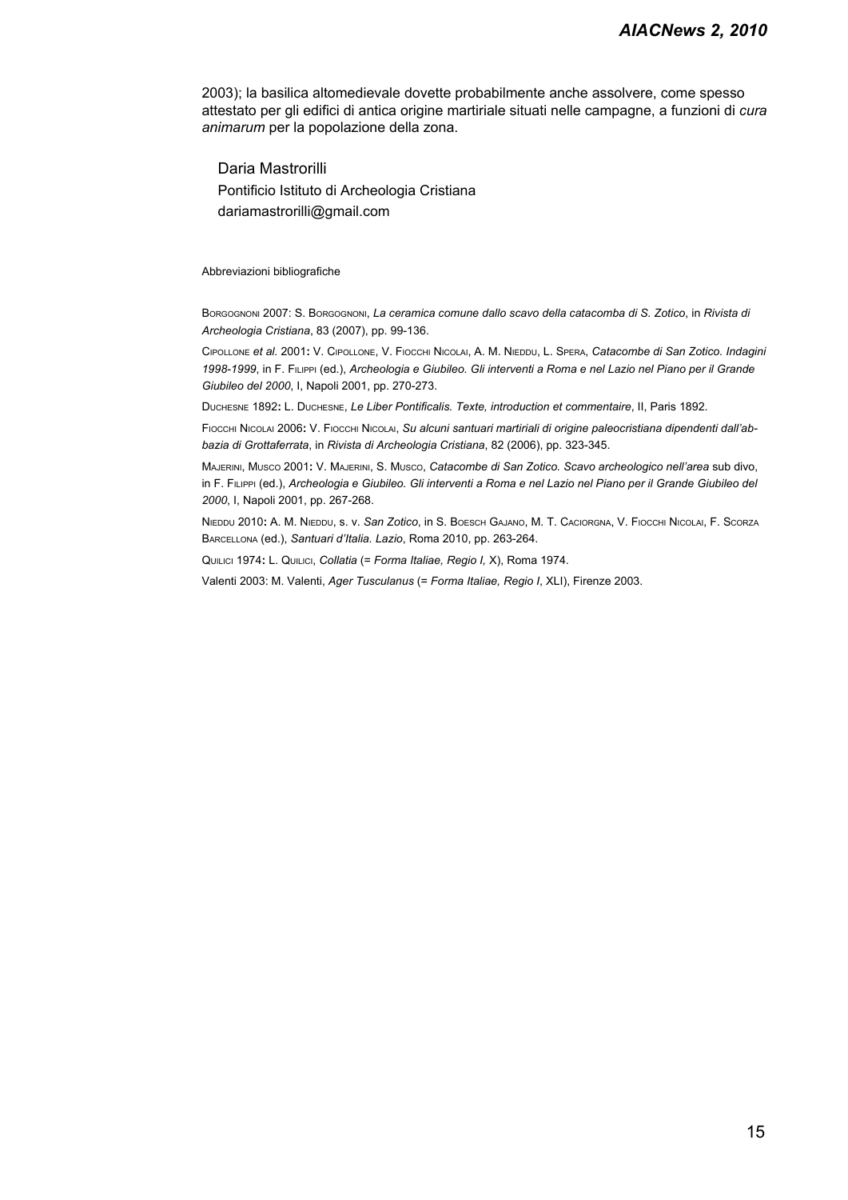2003); la basilica altomedievale dovette probabilmente anche assolvere, come spesso attestato per gli edifici di antica origine martiriale situati nelle campagne, a funzioni di *cura animarum* per la popolazione della zona.

Daria Mastrorilli Pontificio Istituto di Archeologia Cristiana dariamastrorilli@gmail.com

#### Abbreviazioni bibliografiche

Borgognoni 2007: S. Borgognoni, *La ceramica comune dallo scavo della catacomba di S. Zotico*, in *Rivista di Archeologia Cristiana*, 83 (2007), pp. 99-136.

Cipollone *et al.* 2001**:** V. Cipollone, V. Fiocchi Nicolai, A. M. Nieddu, L. Spera, *Catacombe di San Zotico. Indagini 1998-1999*, in F. Filippi (ed.), *Archeologia e Giubileo. Gli interventi a Roma e nel Lazio nel Piano per il Grande Giubileo del 2000*, I, Napoli 2001, pp. 270-273.

Duchesne 1892**:** L. Duchesne, *Le Liber Pontificalis. Texte, introduction et commentaire*, II, Paris 1892.

Fiocchi Nicolai 2006**:** V. Fiocchi Nicolai, *Su alcuni santuari martiriali di origine paleocristiana dipendenti dall'abbazia di Grottaferrata*, in *Rivista di Archeologia Cristiana*, 82 (2006), pp. 323-345.

Majerini, Musco 2001**:** V. Majerini, S. Musco, *Catacombe di San Zotico. Scavo archeologico nell'area* sub divo, in F. Filippi (ed.), *Archeologia e Giubileo. Gli interventi a Roma e nel Lazio nel Piano per il Grande Giubileo del 2000*, I, Napoli 2001, pp. 267-268.

Nieddu 2010**:** A. M. Nieddu, s. v. *San Zotico*, in S. Boesch Gajano, M. T. Caciorgna, V. Fiocchi Nicolai, F. Scorza Barcellona (ed.), *Santuari d'Italia. Lazio*, Roma 2010, pp. 263-264.

Quilici 1974**:** L. Quilici, *Collatia* (= *Forma Italiae, Regio I,* X), Roma 1974.

Valenti 2003: M. Valenti, *Ager Tusculanus* (= *Forma Italiae, Regio I*, XLI), Firenze 2003.